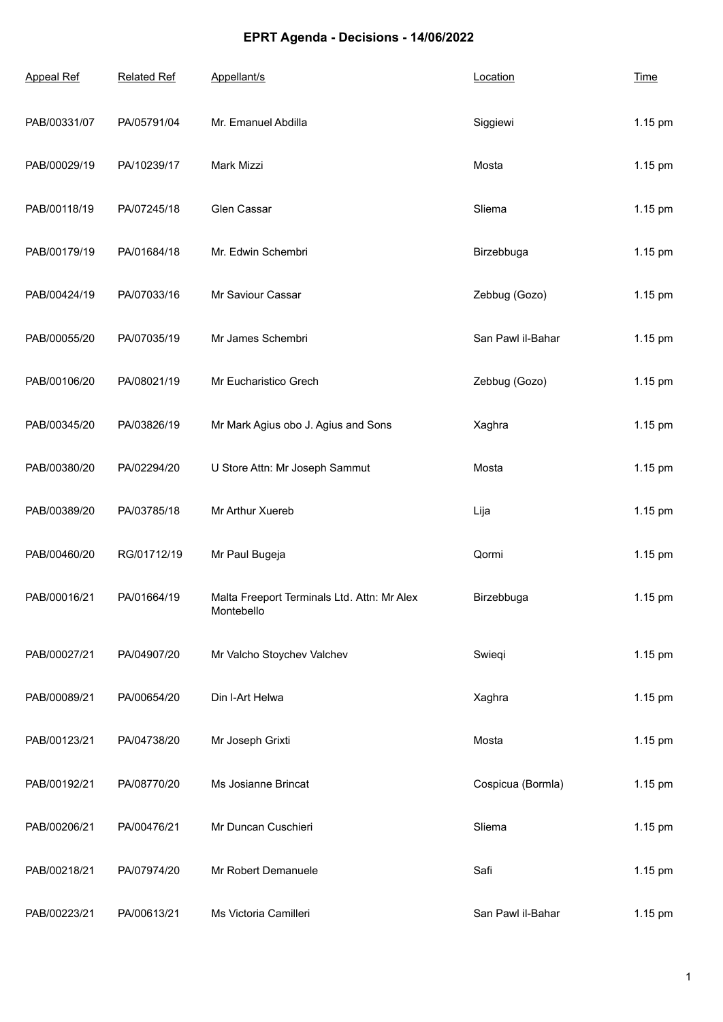## **EPRT Agenda - Decisions - 14/06/2022**

| <b>Appeal Ref</b> | <b>Related Ref</b> | Appellant/s                                               | Location          | <b>Time</b> |
|-------------------|--------------------|-----------------------------------------------------------|-------------------|-------------|
| PAB/00331/07      | PA/05791/04        | Mr. Emanuel Abdilla                                       | Siggiewi          | 1.15 pm     |
| PAB/00029/19      | PA/10239/17        | Mark Mizzi                                                | Mosta             | 1.15 pm     |
| PAB/00118/19      | PA/07245/18        | Glen Cassar                                               | Sliema            | 1.15 pm     |
| PAB/00179/19      | PA/01684/18        | Mr. Edwin Schembri                                        | Birzebbuga        | 1.15 pm     |
| PAB/00424/19      | PA/07033/16        | Mr Saviour Cassar                                         | Zebbug (Gozo)     | 1.15 pm     |
| PAB/00055/20      | PA/07035/19        | Mr James Schembri                                         | San Pawl il-Bahar | 1.15 pm     |
| PAB/00106/20      | PA/08021/19        | Mr Eucharistico Grech                                     | Zebbug (Gozo)     | 1.15 pm     |
| PAB/00345/20      | PA/03826/19        | Mr Mark Agius obo J. Agius and Sons                       | Xaghra            | 1.15 pm     |
| PAB/00380/20      | PA/02294/20        | U Store Attn: Mr Joseph Sammut                            | Mosta             | 1.15 pm     |
| PAB/00389/20      | PA/03785/18        | Mr Arthur Xuereb                                          | Lija              | 1.15 pm     |
| PAB/00460/20      | RG/01712/19        | Mr Paul Bugeja                                            | Qormi             | 1.15 pm     |
| PAB/00016/21      | PA/01664/19        | Malta Freeport Terminals Ltd. Attn: Mr Alex<br>Montebello | Birzebbuga        | 1.15 pm     |
| PAB/00027/21      | PA/04907/20        | Mr Valcho Stoychev Valchev                                | Swieqi            | 1.15 pm     |
| PAB/00089/21      | PA/00654/20        | Din I-Art Helwa                                           | Xaghra            | 1.15 pm     |
| PAB/00123/21      | PA/04738/20        | Mr Joseph Grixti                                          | Mosta             | 1.15 pm     |
| PAB/00192/21      | PA/08770/20        | Ms Josianne Brincat                                       | Cospicua (Bormla) | 1.15 pm     |
| PAB/00206/21      | PA/00476/21        | Mr Duncan Cuschieri                                       | Sliema            | 1.15 pm     |
| PAB/00218/21      | PA/07974/20        | Mr Robert Demanuele                                       | Safi              | 1.15 pm     |
| PAB/00223/21      | PA/00613/21        | Ms Victoria Camilleri                                     | San Pawl il-Bahar | 1.15 pm     |